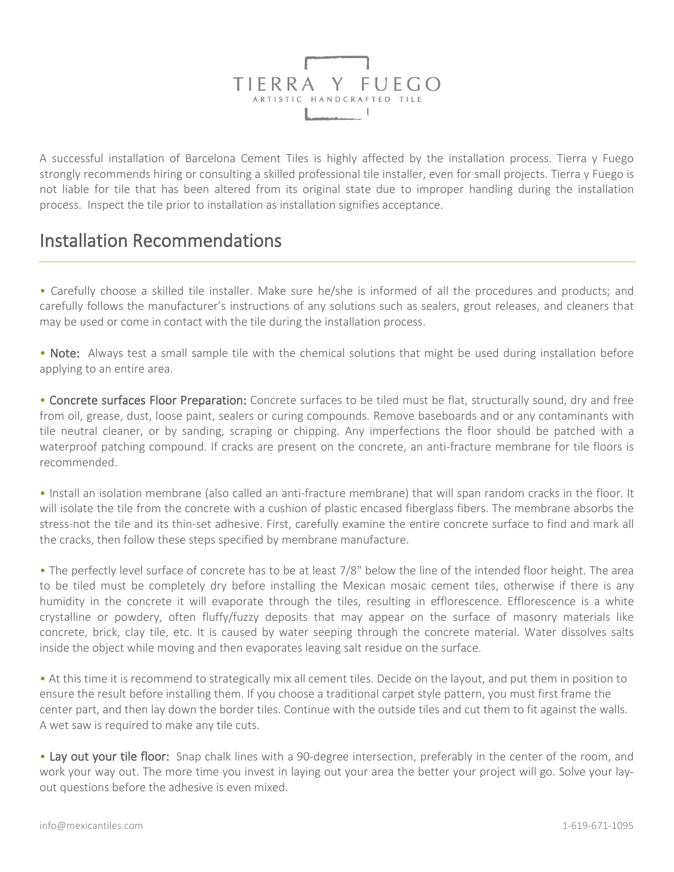

A successful installation of Barcelona Cement Tiles is highly affected by the installation process. Tierra y Fuego strongly recommends hiring or consulting a skilled professional tile installer, even for small projects. Tierra y Fuego is not liable for tile that has been altered from its original state due to improper handling during the installation process. Inspect the tile prior to installation as installation signifies acceptance.

## Installation Recommendations

• Carefully choose a skilled tile installer. Make sure he/she is informed of all the procedures and products; and carefully follows the manufacturer's instructions of any solutions such as sealers, grout releases, and cleaners that may be used or come in contact with the tile during the installation process.

• Note: Always test a small sample tile with the chemical solutions that might be used during installation before applying to an entire area.

• Concrete surfaces Floor Preparation: Concrete surfaces to be tiled must be flat, structurally sound, dry and free from oil, grease, dust, loose paint, sealers or curing compounds. Remove baseboards and or any contaminants with tile neutral cleaner, or by sanding, scraping or chipping. Any imperfections the floor should be patched with a waterproof patching compound. If cracks are present on the concrete, an anti-fracture membrane for tile floors is recommended.

• Install an isolation membrane (also called an anti-fracture membrane) that will span random cracks in the floor. It will isolate the tile from the concrete with a cushion of plastic encased fiberglass fibers. The membrane absorbs the stress-not the tile and its thin-set adhesive. First, carefully examine the entire concrete surface to find and mark all the cracks, then follow these steps specified by membrane manufacture.

• The perfectly level surface of concrete has to be at least 7/8" below the line of the intended floor height. The area to be tiled must be completely dry before installing the Mexican mosaic cement tiles, otherwise if there is any humidity in the concrete it will evaporate through the tiles, resulting in efflorescence. Efflorescence is a white crystalline or powdery, often fluffy/fuzzy deposits that may appear on the surface of masonry materials like concrete, brick, clay tile, etc. It is caused by water seeping through the concrete material. Water dissolves salts inside the object while moving and then evaporates leaving salt residue on the surface.

• At this time it is recommend to strategically mix all cement tiles. Decide on the layout, and put them in position to ensure the result before installing them. If you choose a traditional carpet style pattern, you must first frame the center part, and then lay down the border tiles. Continue with the outside tiles and cut them to fit against the walls. A wet saw is required to make any tile cuts.

• Lay out your tile floor: Snap chalk lines with a 90-degree intersection, preferably in the center of the room, and work your way out. The more time you invest in laying out your area the better your project will go. Solve your layout questions before the adhesive is even mixed.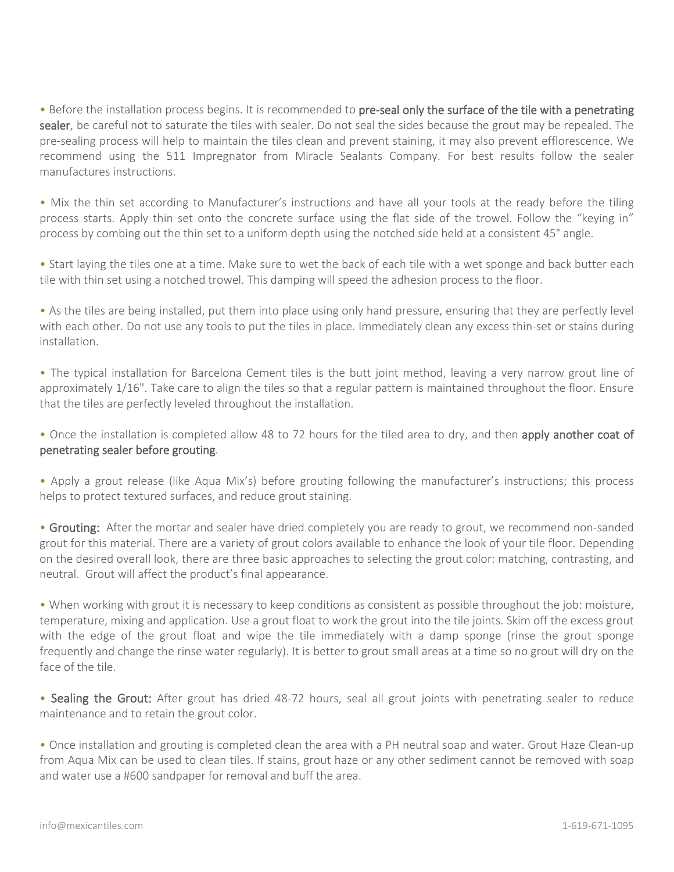• Before the installation process begins. It is recommended to pre-seal only the surface of the tile with a penetrating sealer, be careful not to saturate the tiles with sealer. Do not seal the sides because the grout may be repealed. The pre-sealing process will help to maintain the tiles clean and prevent staining, it may also prevent efflorescence. We recommend using the 511 Impregnator from Miracle Sealants Company. For best results follow the sealer manufactures instructions.

• Mix the thin set according to Manufacturer's instructions and have all your tools at the ready before the tiling process starts. Apply thin set onto the concrete surface using the flat side of the trowel. Follow the "keying in" process by combing out the thin set to a uniform depth using the notched side held at a consistent 45° angle.

• Start laying the tiles one at a time. Make sure to wet the back of each tile with a wet sponge and back butter each tile with thin set using a notched trowel. This damping will speed the adhesion process to the floor.

• As the tiles are being installed, put them into place using only hand pressure, ensuring that they are perfectly level with each other. Do not use any tools to put the tiles in place. Immediately clean any excess thin-set or stains during installation.

• The typical installation for Barcelona Cement tiles is the butt joint method, leaving a very narrow grout line of approximately 1/16". Take care to align the tiles so that a regular pattern is maintained throughout the floor. Ensure that the tiles are perfectly leveled throughout the installation.

• Once the installation is completed allow 48 to 72 hours for the tiled area to dry, and then apply another coat of penetrating sealer before grouting.

• Apply a grout release (like Aqua Mix's) before grouting following the manufacturer's instructions; this process helps to protect textured surfaces, and reduce grout staining.

• Grouting: After the mortar and sealer have dried completely you are ready to grout, we recommend non-sanded grout for this material. There are a variety of grout colors available to enhance the look of your tile floor. Depending on the desired overall look, there are three basic approaches to selecting the grout color: matching, contrasting, and neutral. Grout will affect the product's final appearance.

• When working with grout it is necessary to keep conditions as consistent as possible throughout the job: moisture, temperature, mixing and application. Use a grout float to work the grout into the tile joints. Skim off the excess grout with the edge of the grout float and wipe the tile immediately with a damp sponge (rinse the grout sponge frequently and change the rinse water regularly). It is better to grout small areas at a time so no grout will dry on the face of the tile.

• Sealing the Grout: After grout has dried 48-72 hours, seal all grout joints with penetrating sealer to reduce maintenance and to retain the grout color.

• Once installation and grouting is completed clean the area with a PH neutral soap and water. Grout Haze Clean-up from Aqua Mix can be used to clean tiles. If stains, grout haze or any other sediment cannot be removed with soap and water use a #600 sandpaper for removal and buff the area.